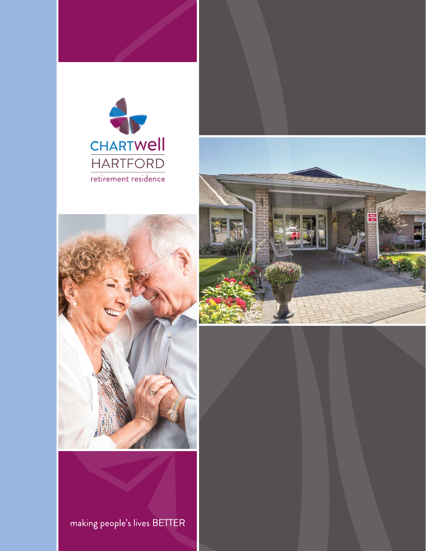





making people's lives BETTER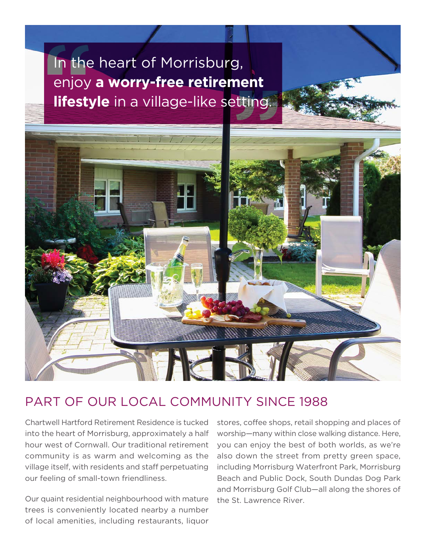# In the heart of Morrisburg, enjoy **a worry-free retirement lifestyle** in a village-like setting.



#### PART OF OUR LOCAL COMMUNITY SINCE 1988

our feeling of small-town friendliness. Chartwell Hartford Retirement Residence is tucked into the heart of Morrisburg, approximately a half hour west of Cornwall. Our traditional retirement community is as warm and welcoming as the village itself, with residents and staff perpetuating

Our quaint residential neighbourhood with mature trees is conveniently located nearby a number of local amenities, including restaurants, liquor

stores, coffee shops, retail shopping and places of worship—many within close walking distance. Here, you can enjoy the best of both worlds, as we're also down the street from pretty green space, including Morrisburg Waterfront Park, Morrisburg Beach and Public Dock, South Dundas Dog Park and Morrisburg Golf Club—all along the shores of the St. Lawrence River.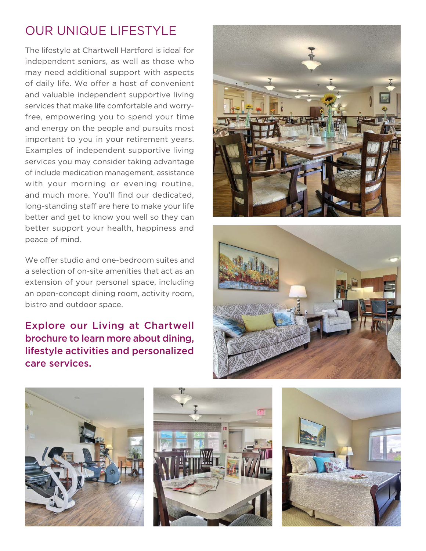### OUR UNIQUE LIFESTYLE

The lifestyle at Chartwell Hartford is ideal for independent seniors, as well as those who may need additional support with aspects of daily life. We offer a host of convenient and valuable independent supportive living services that make life comfortable and worryfree, empowering you to spend your time and energy on the people and pursuits most important to you in your retirement years. Examples of independent supportive living services you may consider taking advantage of include medication management, assistance with your morning or evening routine, and much more. You'll find our dedicated, long-standing staff are here to make your life better and get to know you well so they can better support your health, happiness and peace of mind.

We offer studio and one-bedroom suites and a selection of on-site amenities that act as an extension of your personal space, including an open-concept dining room, activity room, bistro and outdoor space.

Explore our Living at Chartwell brochure to learn more about dining, lifestyle activities and personalized care services.









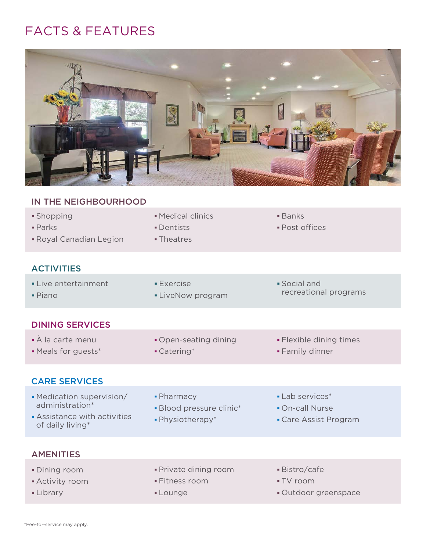#### FACTS & FEATURES



## IN THE NEIGHBOURHOOD • Shopping **Medical clinics Banks**  Parks Dentists Post offices **Royal Canadian Legion** Theatres **ACTIVITIES** Live entertainment **Exercise Exercise Exercise Fiano LiveNow programs Piano Programs** DINING SERVICES À la carte menu Open-seating dining Flexible dining times • Meals for guests\* The Catering\* The Cater of The Family dinner CARE SERVICES • Medication supervision/ • Pharmacy • Lab services\* administration\* Blood pressure clinic\* Chief Chief Pon-call Nurse • Assistance with activities Physiotherapy\* Care Assist Program of daily living\* AMENITIES • Dining room **CONF CONFERGITE:** Private dining room **Bistro/cafe** • Activity room **Fitness room Fitness room FIV room** Library **Laurance Community** Lounge **Community** Cutdoor greenspace